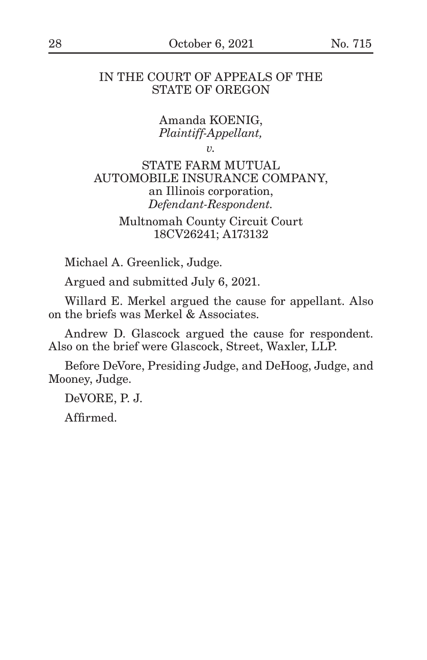# IN THE COURT OF APPEALS OF THE STATE OF OREGON

Amanda KOENIG, *Plaintiff-Appellant,*

*v.*

STATE FARM MUTUAL AUTOMOBILE INSURANCE COMPANY, an Illinois corporation, *Defendant-Respondent.*

> Multnomah County Circuit Court 18CV26241; A173132

Michael A. Greenlick, Judge.

Argued and submitted July 6, 2021.

Willard E. Merkel argued the cause for appellant. Also on the briefs was Merkel & Associates.

Andrew D. Glascock argued the cause for respondent. Also on the brief were Glascock, Street, Waxler, LLP.

Before DeVore, Presiding Judge, and DeHoog, Judge, and Mooney, Judge.

DeVORE, P. J.

Affirmed.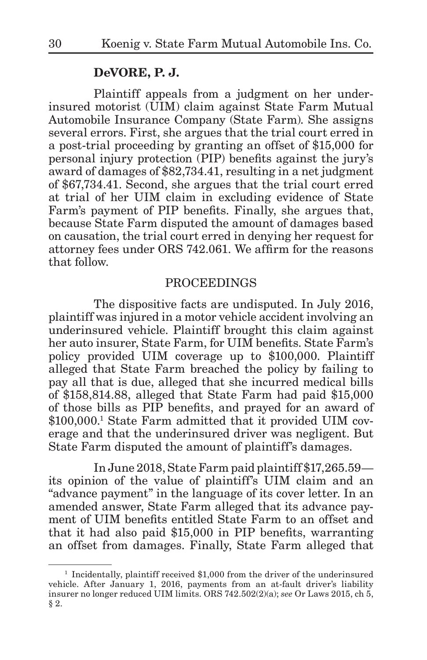# **DeVORE, P. J.**

Plaintiff appeals from a judgment on her underinsured motorist (UIM) claim against State Farm Mutual Automobile Insurance Company (State Farm). She assigns several errors. First, she argues that the trial court erred in a post-trial proceeding by granting an offset of \$15,000 for personal injury protection (PIP) benefits against the jury's award of damages of \$82,734.41, resulting in a net judgment of \$67,734.41. Second, she argues that the trial court erred at trial of her UIM claim in excluding evidence of State Farm's payment of PIP benefits. Finally, she argues that, because State Farm disputed the amount of damages based on causation, the trial court erred in denying her request for attorney fees under ORS 742.061. We affirm for the reasons that follow.

### PROCEEDINGS

The dispositive facts are undisputed. In July 2016, plaintiff was injured in a motor vehicle accident involving an underinsured vehicle. Plaintiff brought this claim against her auto insurer, State Farm, for UIM benefits. State Farm's policy provided UIM coverage up to \$100,000. Plaintiff alleged that State Farm breached the policy by failing to pay all that is due, alleged that she incurred medical bills of \$158,814.88, alleged that State Farm had paid \$15,000 of those bills as PIP benefits, and prayed for an award of \$100,000.1 State Farm admitted that it provided UIM coverage and that the underinsured driver was negligent. But State Farm disputed the amount of plaintiff's damages.

In June 2018, State Farm paid plaintiff \$17,265.59 its opinion of the value of plaintiff's UIM claim and an "advance payment" in the language of its cover letter. In an amended answer, State Farm alleged that its advance payment of UIM benefits entitled State Farm to an offset and that it had also paid \$15,000 in PIP benefits, warranting an offset from damages. Finally, State Farm alleged that

<sup>&</sup>lt;sup>1</sup> Incidentally, plaintiff received \$1,000 from the driver of the underinsured vehicle. After January 1, 2016, payments from an at-fault driver's liability insurer no longer reduced UIM limits. ORS 742.502(2)(a); *see* Or Laws 2015, ch 5, § 2.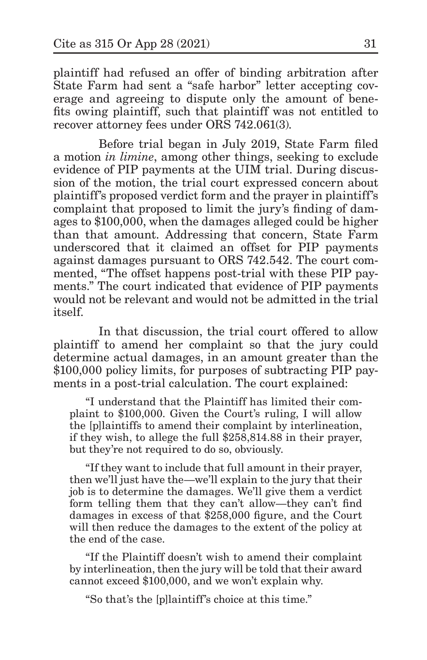plaintiff had refused an offer of binding arbitration after State Farm had sent a "safe harbor" letter accepting coverage and agreeing to dispute only the amount of benefits owing plaintiff, such that plaintiff was not entitled to recover attorney fees under ORS 742.061(3).

Before trial began in July 2019, State Farm filed a motion *in limine*, among other things, seeking to exclude evidence of PIP payments at the UIM trial. During discussion of the motion, the trial court expressed concern about plaintiff's proposed verdict form and the prayer in plaintiff's complaint that proposed to limit the jury's finding of damages to \$100,000, when the damages alleged could be higher than that amount. Addressing that concern, State Farm underscored that it claimed an offset for PIP payments against damages pursuant to ORS 742.542. The court commented, "The offset happens post-trial with these PIP payments." The court indicated that evidence of PIP payments would not be relevant and would not be admitted in the trial itself.

In that discussion, the trial court offered to allow plaintiff to amend her complaint so that the jury could determine actual damages, in an amount greater than the \$100,000 policy limits, for purposes of subtracting PIP payments in a post-trial calculation. The court explained:

"I understand that the Plaintiff has limited their complaint to \$100,000. Given the Court's ruling, I will allow the [p]laintiffs to amend their complaint by interlineation, if they wish, to allege the full \$258,814.88 in their prayer, but they're not required to do so, obviously.

"If they want to include that full amount in their prayer, then we'll just have the—we'll explain to the jury that their job is to determine the damages. We'll give them a verdict form telling them that they can't allow—they can't find damages in excess of that \$258,000 figure, and the Court will then reduce the damages to the extent of the policy at the end of the case.

"If the Plaintiff doesn't wish to amend their complaint by interlineation, then the jury will be told that their award cannot exceed \$100,000, and we won't explain why.

"So that's the [p]laintiff's choice at this time."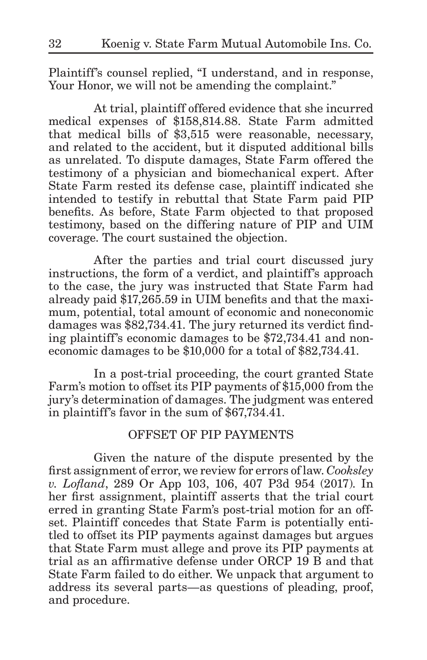Plaintiff's counsel replied, "I understand, and in response, Your Honor, we will not be amending the complaint."

At trial, plaintiff offered evidence that she incurred medical expenses of \$158,814.88. State Farm admitted that medical bills of \$3,515 were reasonable, necessary, and related to the accident, but it disputed additional bills as unrelated. To dispute damages, State Farm offered the testimony of a physician and biomechanical expert. After State Farm rested its defense case, plaintiff indicated she intended to testify in rebuttal that State Farm paid PIP benefits. As before, State Farm objected to that proposed testimony, based on the differing nature of PIP and UIM coverage. The court sustained the objection.

After the parties and trial court discussed jury instructions, the form of a verdict, and plaintiff's approach to the case, the jury was instructed that State Farm had already paid \$17,265.59 in UIM benefits and that the maximum, potential, total amount of economic and noneconomic damages was \$82,734.41. The jury returned its verdict finding plaintiff's economic damages to be \$72,734.41 and noneconomic damages to be \$10,000 for a total of \$82,734.41.

In a post-trial proceeding, the court granted State Farm's motion to offset its PIP payments of \$15,000 from the jury's determination of damages. The judgment was entered in plaintiff's favor in the sum of \$67,734.41.

# OFFSET OF PIP PAYMENTS

Given the nature of the dispute presented by the first assignment of error, we review for errors of law. *Cooksley v. Lofland*, 289 Or App 103, 106, 407 P3d 954 (2017). In her first assignment, plaintiff asserts that the trial court erred in granting State Farm's post-trial motion for an offset. Plaintiff concedes that State Farm is potentially entitled to offset its PIP payments against damages but argues that State Farm must allege and prove its PIP payments at trial as an affirmative defense under ORCP 19 B and that State Farm failed to do either. We unpack that argument to address its several parts—as questions of pleading, proof, and procedure.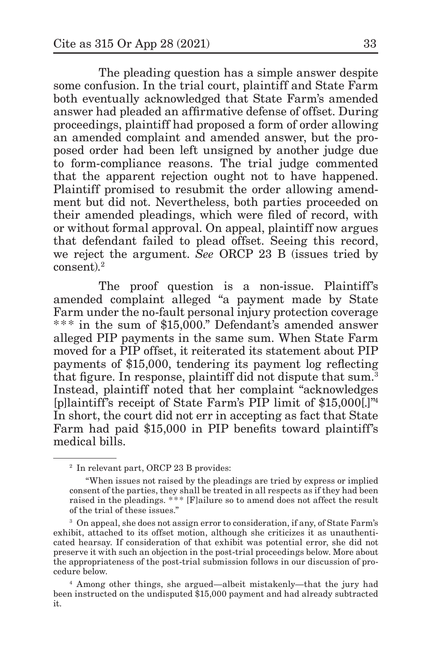The pleading question has a simple answer despite some confusion. In the trial court, plaintiff and State Farm both eventually acknowledged that State Farm's amended answer had pleaded an affirmative defense of offset. During proceedings, plaintiff had proposed a form of order allowing an amended complaint and amended answer, but the proposed order had been left unsigned by another judge due to form-compliance reasons. The trial judge commented that the apparent rejection ought not to have happened. Plaintiff promised to resubmit the order allowing amendment but did not. Nevertheless, both parties proceeded on their amended pleadings, which were filed of record, with or without formal approval. On appeal, plaintiff now argues that defendant failed to plead offset. Seeing this record, we reject the argument. *See* ORCP 23 B (issues tried by consent).2

The proof question is a non-issue. Plaintiff's amended complaint alleged "a payment made by State Farm under the no-fault personal injury protection coverage \*\*\* in the sum of \$15,000." Defendant's amended answer alleged PIP payments in the same sum. When State Farm moved for a PIP offset, it reiterated its statement about PIP payments of \$15,000, tendering its payment log reflecting that figure. In response, plaintiff did not dispute that sum.<sup>3</sup> Instead, plaintiff noted that her complaint "acknowledges [p]laintiff's receipt of State Farm's PIP limit of \$15,000[.]"<sup>4</sup> In short, the court did not err in accepting as fact that State Farm had paid \$15,000 in PIP benefits toward plaintiff's medical bills.

<sup>2</sup> In relevant part, ORCP 23 B provides:

<sup>&</sup>quot;When issues not raised by the pleadings are tried by express or implied consent of the parties, they shall be treated in all respects as if they had been raised in the pleadings. \*\*\* [F]ailure so to amend does not affect the result of the trial of these issues."

<sup>3</sup> On appeal, she does not assign error to consideration, if any, of State Farm's exhibit, attached to its offset motion, although she criticizes it as unauthenticated hearsay. If consideration of that exhibit was potential error, she did not preserve it with such an objection in the post-trial proceedings below. More about the appropriateness of the post-trial submission follows in our discussion of procedure below.

<sup>4</sup> Among other things, she argued—albeit mistakenly—that the jury had been instructed on the undisputed \$15,000 payment and had already subtracted it.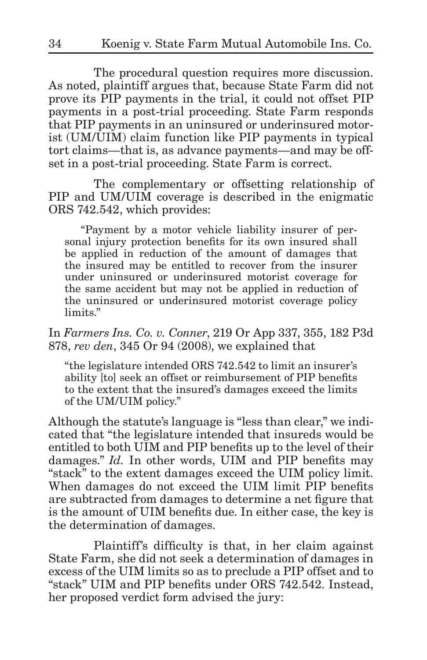The procedural question requires more discussion. As noted, plaintiff argues that, because State Farm did not prove its PIP payments in the trial, it could not offset PIP payments in a post-trial proceeding. State Farm responds that PIP payments in an uninsured or underinsured motorist (UM/UIM) claim function like PIP payments in typical tort claims—that is, as advance payments—and may be offset in a post-trial proceeding. State Farm is correct.

The complementary or offsetting relationship of PIP and UM/UIM coverage is described in the enigmatic ORS 742.542, which provides:

"Payment by a motor vehicle liability insurer of personal injury protection benefits for its own insured shall be applied in reduction of the amount of damages that the insured may be entitled to recover from the insurer under uninsured or underinsured motorist coverage for the same accident but may not be applied in reduction of the uninsured or underinsured motorist coverage policy limits."

In *Farmers Ins. Co. v. Conner*, 219 Or App 337, 355, 182 P3d 878, *rev den*, 345 Or 94 (2008), we explained that

"the legislature intended ORS 742.542 to limit an insurer's ability [to] seek an offset or reimbursement of PIP benefits to the extent that the insured's damages exceed the limits of the UM/UIM policy."

Although the statute's language is "less than clear," we indicated that "the legislature intended that insureds would be entitled to both UIM and PIP benefits up to the level of their damages." *Id.* In other words, UIM and PIP benefits may "stack" to the extent damages exceed the UIM policy limit. When damages do not exceed the UIM limit PIP benefits are subtracted from damages to determine a net figure that is the amount of UIM benefits due. In either case, the key is the determination of damages.

Plaintiff's difficulty is that, in her claim against State Farm, she did not seek a determination of damages in excess of the UIM limits so as to preclude a PIP offset and to "stack" UIM and PIP benefits under ORS 742.542. Instead, her proposed verdict form advised the jury: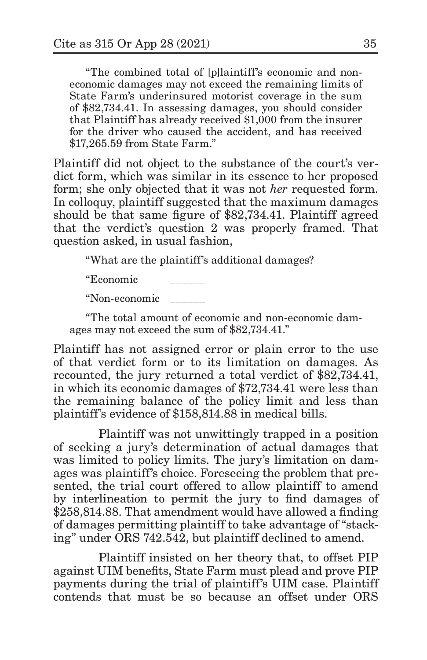"The combined total of [p]laintiff's economic and noneconomic damages may not exceed the remaining limits of State Farm's underinsured motorist coverage in the sum of \$82,734.41. In assessing damages, you should consider that Plaintiff has already received \$1,000 from the insurer for the driver who caused the accident, and has received \$17,265.59 from State Farm."

Plaintiff did not object to the substance of the court's verdict form, which was similar in its essence to her proposed form; she only objected that it was not *her* requested form. In colloquy, plaintiff suggested that the maximum damages should be that same figure of \$82,734.41. Plaintiff agreed that the verdict's question 2 was properly framed. That question asked, in usual fashion,

"What are the plaintiff's additional damages?

"Economic \_\_\_\_\_\_

"Non-economic \_\_\_\_\_\_

"The total amount of economic and non-economic damages may not exceed the sum of \$82,734.41."

Plaintiff has not assigned error or plain error to the use of that verdict form or to its limitation on damages. As recounted, the jury returned a total verdict of \$82,734.41, in which its economic damages of \$72,734.41 were less than the remaining balance of the policy limit and less than plaintiff's evidence of \$158,814.88 in medical bills.

Plaintiff was not unwittingly trapped in a position of seeking a jury's determination of actual damages that was limited to policy limits. The jury's limitation on damages was plaintiff's choice. Foreseeing the problem that presented, the trial court offered to allow plaintiff to amend by interlineation to permit the jury to find damages of \$258,814.88. That amendment would have allowed a finding of damages permitting plaintiff to take advantage of "stacking" under ORS 742.542, but plaintiff declined to amend.

Plaintiff insisted on her theory that, to offset PIP against UIM benefits, State Farm must plead and prove PIP payments during the trial of plaintiff's UIM case. Plaintiff contends that must be so because an offset under ORS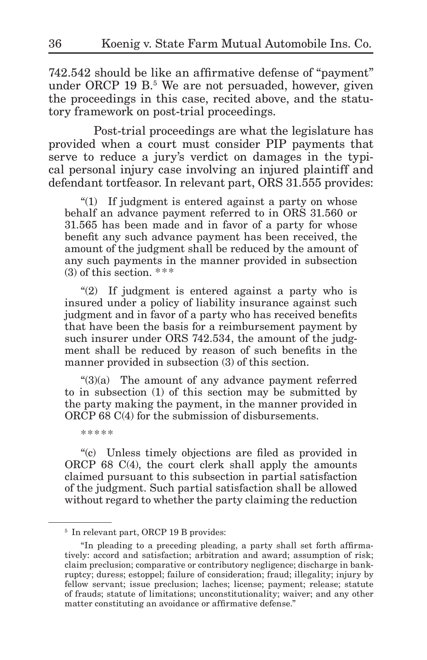742.542 should be like an affirmative defense of "payment" under ORCP 19 B.<sup>5</sup> We are not persuaded, however, given the proceedings in this case, recited above, and the statutory framework on post-trial proceedings.

Post-trial proceedings are what the legislature has provided when a court must consider PIP payments that serve to reduce a jury's verdict on damages in the typical personal injury case involving an injured plaintiff and defendant tortfeasor. In relevant part, ORS 31.555 provides:

"(1) If judgment is entered against a party on whose behalf an advance payment referred to in ORS 31.560 or 31.565 has been made and in favor of a party for whose benefit any such advance payment has been received, the amount of the judgment shall be reduced by the amount of any such payments in the manner provided in subsection  $(3)$  of this section. \*\*\*

"(2) If judgment is entered against a party who is insured under a policy of liability insurance against such judgment and in favor of a party who has received benefits that have been the basis for a reimbursement payment by such insurer under ORS 742.534, the amount of the judgment shall be reduced by reason of such benefits in the manner provided in subsection (3) of this section.

"(3)(a) The amount of any advance payment referred to in subsection (1) of this section may be submitted by the party making the payment, in the manner provided in ORCP 68 C(4) for the submission of disbursements.

\*\*\*\*\*

"(c) Unless timely objections are filed as provided in ORCP 68 C(4), the court clerk shall apply the amounts claimed pursuant to this subsection in partial satisfaction of the judgment. Such partial satisfaction shall be allowed without regard to whether the party claiming the reduction

<sup>5</sup> In relevant part, ORCP 19 B provides:

<sup>&</sup>quot;In pleading to a preceding pleading, a party shall set forth affirmatively: accord and satisfaction; arbitration and award; assumption of risk; claim preclusion; comparative or contributory negligence; discharge in bankruptcy; duress; estoppel; failure of consideration; fraud; illegality; injury by fellow servant; issue preclusion; laches; license; payment; release; statute of frauds; statute of limitations; unconstitutionality; waiver; and any other matter constituting an avoidance or affirmative defense."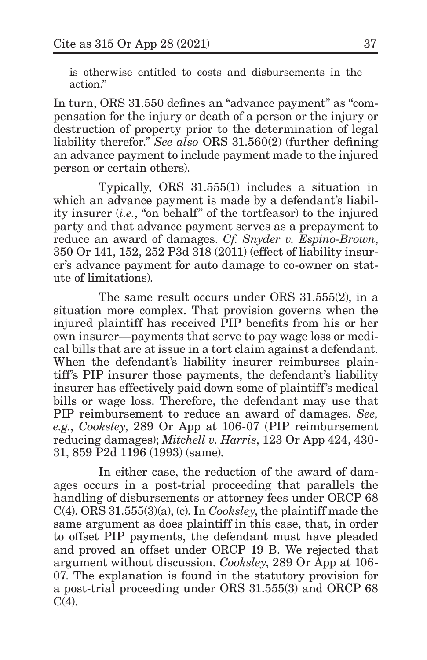is otherwise entitled to costs and disbursements in the action."

In turn, ORS 31.550 defines an "advance payment" as "compensation for the injury or death of a person or the injury or destruction of property prior to the determination of legal liability therefor." *See also* ORS 31.560(2) (further defining an advance payment to include payment made to the injured person or certain others).

Typically, ORS 31.555(1) includes a situation in which an advance payment is made by a defendant's liability insurer (*i.e.*, "on behalf" of the tortfeasor) to the injured party and that advance payment serves as a prepayment to reduce an award of damages. *Cf. Snyder v. Espino-Brown*, 350 Or 141, 152, 252 P3d 318 (2011) (effect of liability insurer's advance payment for auto damage to co-owner on statute of limitations).

The same result occurs under ORS 31.555(2), in a situation more complex. That provision governs when the injured plaintiff has received PIP benefits from his or her own insurer—payments that serve to pay wage loss or medical bills that are at issue in a tort claim against a defendant. When the defendant's liability insurer reimburses plaintiff's PIP insurer those payments, the defendant's liability insurer has effectively paid down some of plaintiff's medical bills or wage loss. Therefore, the defendant may use that PIP reimbursement to reduce an award of damages. *See, e.g.*, *Cooksley*, 289 Or App at 106-07 (PIP reimbursement reducing damages); *Mitchell v. Harris*, 123 Or App 424, 430- 31, 859 P2d 1196 (1993) (same).

In either case, the reduction of the award of damages occurs in a post-trial proceeding that parallels the handling of disbursements or attorney fees under ORCP 68 C(4). ORS 31.555(3)(a), (c). In *Cooksley*, the plaintiff made the same argument as does plaintiff in this case, that, in order to offset PIP payments, the defendant must have pleaded and proved an offset under ORCP 19 B. We rejected that argument without discussion. *Cooksley*, 289 Or App at 106- 07. The explanation is found in the statutory provision for a post-trial proceeding under ORS 31.555(3) and ORCP 68  $C(4)$ .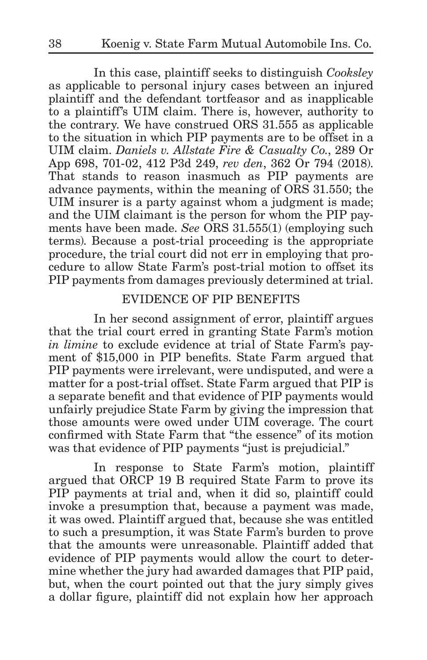In this case, plaintiff seeks to distinguish *Cooksley*  as applicable to personal injury cases between an injured plaintiff and the defendant tortfeasor and as inapplicable to a plaintiff's UIM claim. There is, however, authority to the contrary. We have construed ORS 31.555 as applicable to the situation in which PIP payments are to be offset in a UIM claim. *Daniels v. Allstate Fire & Casualty Co.*, 289 Or App 698, 701-02, 412 P3d 249, *rev den*, 362 Or 794 (2018). That stands to reason inasmuch as PIP payments are advance payments, within the meaning of ORS 31.550; the UIM insurer is a party against whom a judgment is made; and the UIM claimant is the person for whom the PIP payments have been made. *See* ORS 31.555(1) (employing such terms). Because a post-trial proceeding is the appropriate procedure, the trial court did not err in employing that procedure to allow State Farm's post-trial motion to offset its PIP payments from damages previously determined at trial.

# EVIDENCE OF PIP BENEFITS

In her second assignment of error, plaintiff argues that the trial court erred in granting State Farm's motion *in limine* to exclude evidence at trial of State Farm's payment of \$15,000 in PIP benefits. State Farm argued that PIP payments were irrelevant, were undisputed, and were a matter for a post-trial offset. State Farm argued that PIP is a separate benefit and that evidence of PIP payments would unfairly prejudice State Farm by giving the impression that those amounts were owed under UIM coverage. The court confirmed with State Farm that "the essence" of its motion was that evidence of PIP payments "just is prejudicial."

In response to State Farm's motion, plaintiff argued that ORCP 19 B required State Farm to prove its PIP payments at trial and, when it did so, plaintiff could invoke a presumption that, because a payment was made, it was owed. Plaintiff argued that, because she was entitled to such a presumption, it was State Farm's burden to prove that the amounts were unreasonable. Plaintiff added that evidence of PIP payments would allow the court to determine whether the jury had awarded damages that PIP paid, but, when the court pointed out that the jury simply gives a dollar figure, plaintiff did not explain how her approach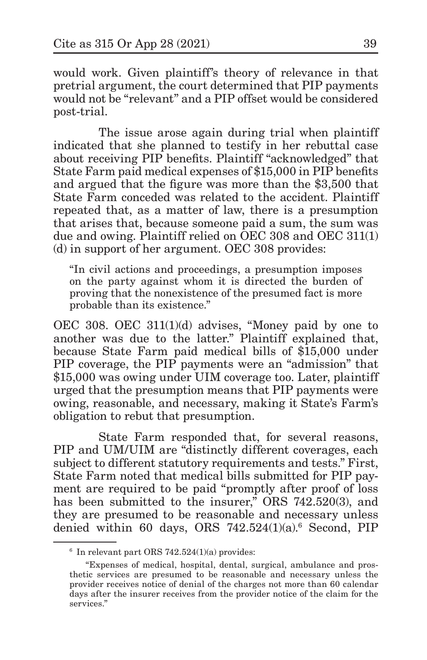would work. Given plaintiff's theory of relevance in that pretrial argument, the court determined that PIP payments would not be "relevant" and a PIP offset would be considered post-trial.

The issue arose again during trial when plaintiff indicated that she planned to testify in her rebuttal case about receiving PIP benefits. Plaintiff "acknowledged" that State Farm paid medical expenses of \$15,000 in PIP benefits and argued that the figure was more than the \$3,500 that State Farm conceded was related to the accident. Plaintiff repeated that, as a matter of law, there is a presumption that arises that, because someone paid a sum, the sum was due and owing. Plaintiff relied on OEC 308 and OEC 311(1) (d) in support of her argument. OEC 308 provides:

"In civil actions and proceedings, a presumption imposes on the party against whom it is directed the burden of proving that the nonexistence of the presumed fact is more probable than its existence."

OEC 308. OEC 311(1)(d) advises, "Money paid by one to another was due to the latter." Plaintiff explained that, because State Farm paid medical bills of \$15,000 under PIP coverage, the PIP payments were an "admission" that \$15,000 was owing under UIM coverage too. Later, plaintiff urged that the presumption means that PIP payments were owing, reasonable, and necessary, making it State's Farm's obligation to rebut that presumption.

State Farm responded that, for several reasons, PIP and UM/UIM are "distinctly different coverages, each subject to different statutory requirements and tests." First, State Farm noted that medical bills submitted for PIP payment are required to be paid "promptly after proof of loss has been submitted to the insurer," ORS 742.520(3), and they are presumed to be reasonable and necessary unless denied within 60 days, ORS 742.524(1)(a).6 Second, PIP

 $6$  In relevant part ORS 742.524(1)(a) provides:

<sup>&</sup>quot;Expenses of medical, hospital, dental, surgical, ambulance and prosthetic services are presumed to be reasonable and necessary unless the provider receives notice of denial of the charges not more than 60 calendar days after the insurer receives from the provider notice of the claim for the services."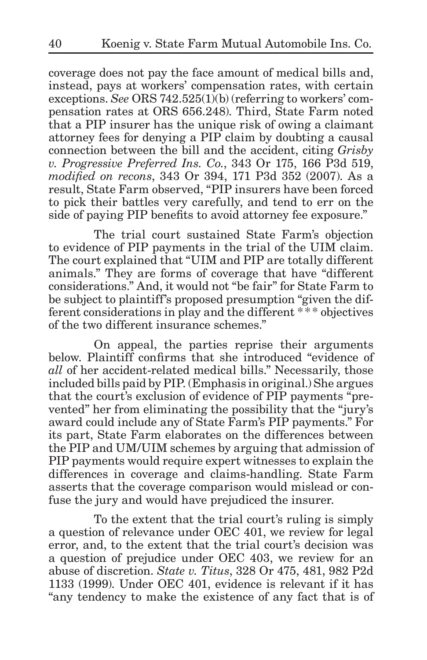coverage does not pay the face amount of medical bills and, instead, pays at workers' compensation rates, with certain exceptions. *See* ORS 742.525(1)(b) (referring to workers' compensation rates at ORS 656.248). Third, State Farm noted that a PIP insurer has the unique risk of owing a claimant attorney fees for denying a PIP claim by doubting a causal connection between the bill and the accident, citing *Grisby v. Progressive Preferred Ins. Co.*, 343 Or 175, 166 P3d 519, *modified on recons*, 343 Or 394, 171 P3d 352 (2007). As a result, State Farm observed, "PIP insurers have been forced to pick their battles very carefully, and tend to err on the side of paying PIP benefits to avoid attorney fee exposure."

The trial court sustained State Farm's objection to evidence of PIP payments in the trial of the UIM claim. The court explained that "UIM and PIP are totally different animals." They are forms of coverage that have "different considerations." And, it would not "be fair" for State Farm to be subject to plaintiff's proposed presumption "given the different considerations in play and the different \*\*\*\* objectives of the two different insurance schemes."

On appeal, the parties reprise their arguments below. Plaintiff confirms that she introduced "evidence of *all* of her accident-related medical bills." Necessarily, those included bills paid by PIP. (Emphasis in original.) She argues that the court's exclusion of evidence of PIP payments "prevented" her from eliminating the possibility that the "jury's award could include any of State Farm's PIP payments." For its part, State Farm elaborates on the differences between the PIP and UM/UIM schemes by arguing that admission of PIP payments would require expert witnesses to explain the differences in coverage and claims-handling. State Farm asserts that the coverage comparison would mislead or confuse the jury and would have prejudiced the insurer.

To the extent that the trial court's ruling is simply a question of relevance under OEC 401, we review for legal error, and, to the extent that the trial court's decision was a question of prejudice under OEC 403, we review for an abuse of discretion. *State v. Titus*, 328 Or 475, 481, 982 P2d 1133 (1999). Under OEC 401, evidence is relevant if it has "any tendency to make the existence of any fact that is of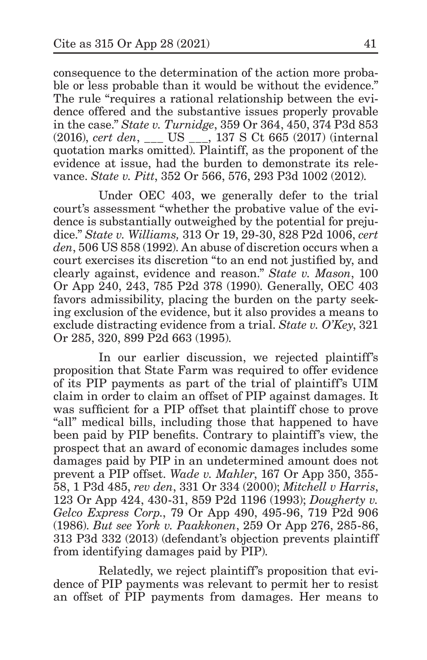consequence to the determination of the action more probable or less probable than it would be without the evidence." The rule "requires a rational relationship between the evidence offered and the substantive issues properly provable in the case." *State v. Turnidge*, 359 Or 364, 450, 374 P3d 853 (2016), *cert den*, \_\_\_ US \_\_\_, 137 S Ct 665 (2017) (internal quotation marks omitted). Plaintiff, as the proponent of the evidence at issue, had the burden to demonstrate its relevance. *State v. Pitt*, 352 Or 566, 576, 293 P3d 1002 (2012).

Under OEC 403, we generally defer to the trial court's assessment "whether the probative value of the evidence is substantially outweighed by the potential for prejudice." *State v. Williams,* 313 Or 19, 29-30, 828 P2d 1006, *cert den*, 506 US 858 (1992). An abuse of discretion occurs when a court exercises its discretion "to an end not justified by, and clearly against, evidence and reason." *State v. Mason*, 100 Or App 240, 243, 785 P2d 378 (1990). Generally, OEC 403 favors admissibility, placing the burden on the party seeking exclusion of the evidence, but it also provides a means to exclude distracting evidence from a trial. *State v. O'Key*, 321 Or 285, 320, 899 P2d 663 (1995).

In our earlier discussion, we rejected plaintiff's proposition that State Farm was required to offer evidence of its PIP payments as part of the trial of plaintiff's UIM claim in order to claim an offset of PIP against damages. It was sufficient for a PIP offset that plaintiff chose to prove "all" medical bills, including those that happened to have been paid by PIP benefits. Contrary to plaintiff's view, the prospect that an award of economic damages includes some damages paid by PIP in an undetermined amount does not prevent a PIP offset. *Wade v. Mahler*, 167 Or App 350, 355- 58, 1 P3d 485, *rev den*, 331 Or 334 (2000); *Mitchell v Harris*, 123 Or App 424, 430-31, 859 P2d 1196 (1993); *Dougherty v. Gelco Express Corp.*, 79 Or App 490, 495-96, 719 P2d 906 (1986). *But see York v. Paakkonen*, 259 Or App 276, 285-86, 313 P3d 332 (2013) (defendant's objection prevents plaintiff from identifying damages paid by PIP).

Relatedly, we reject plaintiff's proposition that evidence of PIP payments was relevant to permit her to resist an offset of PIP payments from damages. Her means to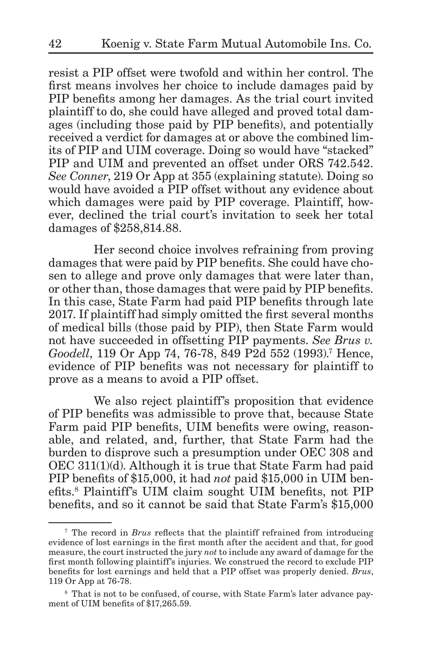resist a PIP offset were twofold and within her control. The first means involves her choice to include damages paid by PIP benefits among her damages. As the trial court invited plaintiff to do, she could have alleged and proved total damages (including those paid by PIP benefits), and potentially received a verdict for damages at or above the combined limits of PIP and UIM coverage. Doing so would have "stacked" PIP and UIM and prevented an offset under ORS 742.542. *See Conner*, 219 Or App at 355 (explaining statute). Doing so would have avoided a PIP offset without any evidence about which damages were paid by PIP coverage. Plaintiff, however, declined the trial court's invitation to seek her total damages of \$258,814.88.

Her second choice involves refraining from proving damages that were paid by PIP benefits. She could have chosen to allege and prove only damages that were later than, or other than, those damages that were paid by PIP benefits. In this case, State Farm had paid PIP benefits through late 2017. If plaintiff had simply omitted the first several months of medical bills (those paid by PIP), then State Farm would not have succeeded in offsetting PIP payments. *See Brus v.*  Goodell, 119 Or App 74, 76-78, 849 P2d 552 (1993).<sup>7</sup> Hence, evidence of PIP benefits was not necessary for plaintiff to prove as a means to avoid a PIP offset.

We also reject plaintiff's proposition that evidence of PIP benefits was admissible to prove that, because State Farm paid PIP benefits, UIM benefits were owing, reasonable, and related, and, further, that State Farm had the burden to disprove such a presumption under OEC 308 and OEC 311(1)(d). Although it is true that State Farm had paid PIP benefits of \$15,000, it had *not* paid \$15,000 in UIM benefits.<sup>8</sup> Plaintiff's UIM claim sought UIM benefits, not PIP benefits, and so it cannot be said that State Farm's \$15,000

<sup>7</sup> The record in *Brus* reflects that the plaintiff refrained from introducing evidence of lost earnings in the first month after the accident and that, for good measure, the court instructed the jury *not* to include any award of damage for the first month following plaintiff's injuries. We construed the record to exclude PIP benefits for lost earnings and held that a PIP offset was properly denied. *Brus*, 119 Or App at 76-78.

<sup>8</sup> That is not to be confused, of course, with State Farm's later advance payment of UIM benefits of \$17,265.59.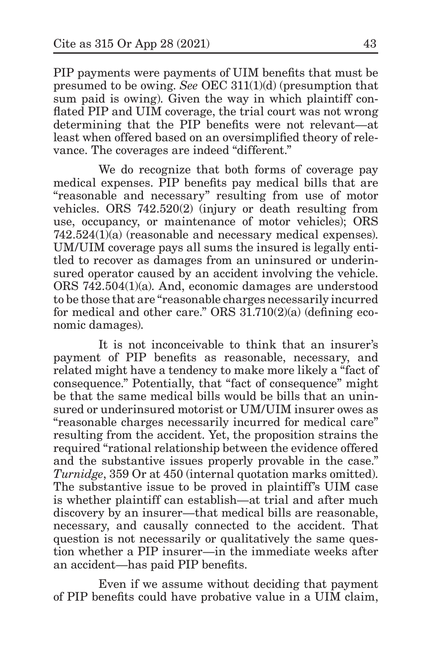PIP payments were payments of UIM benefits that must be presumed to be owing. *See* OEC 311(1)(d) (presumption that sum paid is owing). Given the way in which plaintiff conflated PIP and UIM coverage, the trial court was not wrong determining that the PIP benefits were not relevant—at least when offered based on an oversimplified theory of relevance. The coverages are indeed "different."

We do recognize that both forms of coverage pay medical expenses. PIP benefits pay medical bills that are "reasonable and necessary" resulting from use of motor vehicles. ORS 742.520(2) (injury or death resulting from use, occupancy, or maintenance of motor vehicles); ORS 742.524(1)(a) (reasonable and necessary medical expenses). UM/UIM coverage pays all sums the insured is legally entitled to recover as damages from an uninsured or underinsured operator caused by an accident involving the vehicle. ORS 742.504(1)(a). And, economic damages are understood to be those that are "reasonable charges necessarily incurred for medical and other care." ORS 31.710(2)(a) (defining economic damages).

It is not inconceivable to think that an insurer's payment of PIP benefits as reasonable, necessary, and related might have a tendency to make more likely a "fact of consequence." Potentially, that "fact of consequence" might be that the same medical bills would be bills that an uninsured or underinsured motorist or UM/UIM insurer owes as "reasonable charges necessarily incurred for medical care" resulting from the accident. Yet, the proposition strains the required "rational relationship between the evidence offered and the substantive issues properly provable in the case." *Turnidge*, 359 Or at 450 (internal quotation marks omitted). The substantive issue to be proved in plaintiff's UIM case is whether plaintiff can establish—at trial and after much discovery by an insurer—that medical bills are reasonable, necessary, and causally connected to the accident. That question is not necessarily or qualitatively the same question whether a PIP insurer—in the immediate weeks after an accident—has paid PIP benefits.

Even if we assume without deciding that payment of PIP benefits could have probative value in a UIM claim,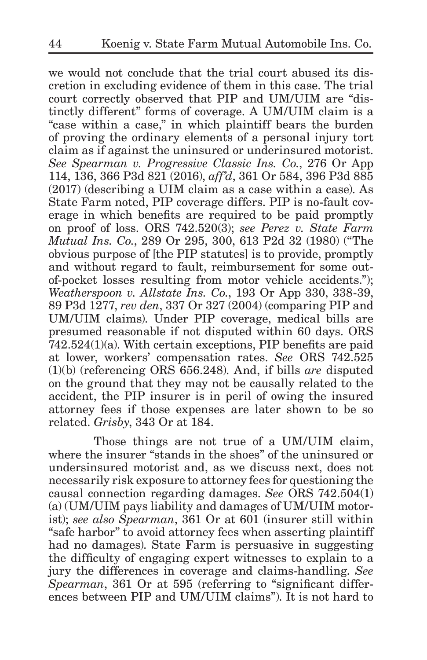we would not conclude that the trial court abused its discretion in excluding evidence of them in this case. The trial court correctly observed that PIP and UM/UIM are "distinctly different" forms of coverage. A UM/UIM claim is a "case within a case," in which plaintiff bears the burden of proving the ordinary elements of a personal injury tort claim as if against the uninsured or underinsured motorist. *See Spearman v. Progressive Classic Ins. Co.*, 276 Or App 114, 136, 366 P3d 821 (2016), *aff'd*, 361 Or 584, 396 P3d 885 (2017) (describing a UIM claim as a case within a case). As State Farm noted, PIP coverage differs. PIP is no-fault coverage in which benefits are required to be paid promptly on proof of loss. ORS 742.520(3); *see Perez v. State Farm Mutual Ins. Co.*, 289 Or 295, 300, 613 P2d 32 (1980) ("The obvious purpose of [the PIP statutes] is to provide, promptly and without regard to fault, reimbursement for some outof-pocket losses resulting from motor vehicle accidents."); *Weatherspoon v. Allstate Ins. Co.*, 193 Or App 330, 338-39, 89 P3d 1277, *rev den*, 337 Or 327 (2004) (comparing PIP and UM/UIM claims). Under PIP coverage, medical bills are presumed reasonable if not disputed within 60 days. ORS 742.524(1)(a). With certain exceptions, PIP benefits are paid at lower, workers' compensation rates. *See* ORS 742.525 (1)(b) (referencing ORS 656.248). And, if bills *are* disputed on the ground that they may not be causally related to the accident, the PIP insurer is in peril of owing the insured attorney fees if those expenses are later shown to be so related. *Grisby*, 343 Or at 184.

Those things are not true of a UM/UIM claim, where the insurer "stands in the shoes" of the uninsured or undersinsured motorist and, as we discuss next, does not necessarily risk exposure to attorney fees for questioning the causal connection regarding damages. *See* ORS 742.504(1) (a) (UM/UIM pays liability and damages of UM/UIM motorist); *see also Spearman*, 361 Or at 601 (insurer still within "safe harbor" to avoid attorney fees when asserting plaintiff had no damages). State Farm is persuasive in suggesting the difficulty of engaging expert witnesses to explain to a jury the differences in coverage and claims-handling. *See Spearman*, 361 Or at 595 (referring to "significant differences between PIP and UM/UIM claims"). It is not hard to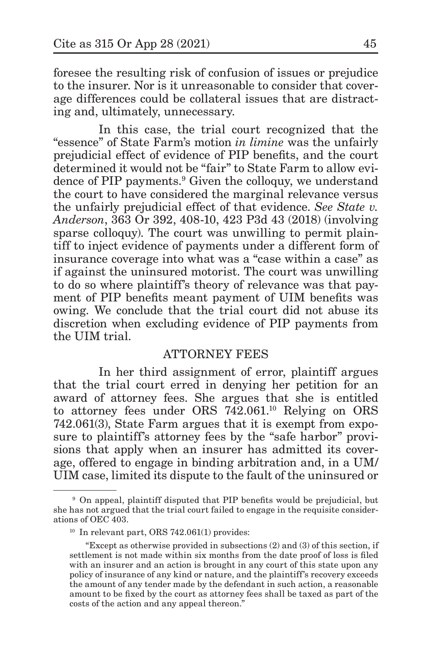foresee the resulting risk of confusion of issues or prejudice to the insurer. Nor is it unreasonable to consider that coverage differences could be collateral issues that are distracting and, ultimately, unnecessary.

In this case, the trial court recognized that the "essence" of State Farm's motion *in limine* was the unfairly prejudicial effect of evidence of PIP benefits, and the court determined it would not be "fair" to State Farm to allow evidence of PIP payments.<sup>9</sup> Given the colloquy, we understand the court to have considered the marginal relevance versus the unfairly prejudicial effect of that evidence. *See State v. Anderson*, 363 Or 392, 408-10, 423 P3d 43 (2018) (involving sparse colloquy). The court was unwilling to permit plaintiff to inject evidence of payments under a different form of insurance coverage into what was a "case within a case" as if against the uninsured motorist. The court was unwilling to do so where plaintiff's theory of relevance was that payment of PIP benefits meant payment of UIM benefits was owing. We conclude that the trial court did not abuse its discretion when excluding evidence of PIP payments from the UIM trial.

### ATTORNEY FEES

In her third assignment of error, plaintiff argues that the trial court erred in denying her petition for an award of attorney fees. She argues that she is entitled to attorney fees under ORS 742.061.10 Relying on ORS 742.061(3), State Farm argues that it is exempt from exposure to plaintiff's attorney fees by the "safe harbor" provisions that apply when an insurer has admitted its coverage, offered to engage in binding arbitration and, in a UM/ UIM case, limited its dispute to the fault of the uninsured or

<sup>9</sup> On appeal, plaintiff disputed that PIP benefits would be prejudicial, but she has not argued that the trial court failed to engage in the requisite considerations of OEC 403.

<sup>&</sup>lt;sup>10</sup> In relevant part, ORS 742.061(1) provides:

<sup>&</sup>quot;Except as otherwise provided in subsections (2) and (3) of this section, if settlement is not made within six months from the date proof of loss is filed with an insurer and an action is brought in any court of this state upon any policy of insurance of any kind or nature, and the plaintiff's recovery exceeds the amount of any tender made by the defendant in such action, a reasonable amount to be fixed by the court as attorney fees shall be taxed as part of the costs of the action and any appeal thereon."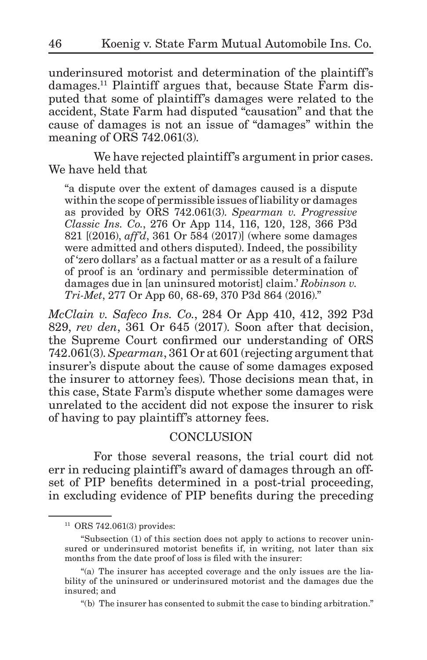underinsured motorist and determination of the plaintiff's damages.11 Plaintiff argues that, because State Farm disputed that some of plaintiff's damages were related to the accident, State Farm had disputed "causation" and that the cause of damages is not an issue of "damages" within the meaning of ORS 742.061(3).

We have rejected plaintiff's argument in prior cases. We have held that

"a dispute over the extent of damages caused is a dispute within the scope of permissible issues of liability or damages as provided by ORS 742.061(3). *Spearman v. Progressive Classic Ins. Co.*, 276 Or App 114, 116, 120, 128, 366 P3d 821 [(2016), *aff'd*, 361 Or 584 (2017)] (where some damages were admitted and others disputed). Indeed, the possibility of 'zero dollars' as a factual matter or as a result of a failure of proof is an 'ordinary and permissible determination of damages due in [an uninsured motorist] claim.' *Robinson v. Tri-Met*, 277 Or App 60, 68-69, 370 P3d 864 (2016)."

*McClain v. Safeco Ins. Co.*, 284 Or App 410, 412, 392 P3d 829, *rev den*, 361 Or 645 (2017). Soon after that decision, the Supreme Court confirmed our understanding of ORS 742.061(3). *Spearman*, 361 Or at 601 (rejecting argument that insurer's dispute about the cause of some damages exposed the insurer to attorney fees). Those decisions mean that, in this case, State Farm's dispute whether some damages were unrelated to the accident did not expose the insurer to risk of having to pay plaintiff's attorney fees.

### **CONCLUSION**

For those several reasons, the trial court did not err in reducing plaintiff's award of damages through an offset of PIP benefits determined in a post-trial proceeding, in excluding evidence of PIP benefits during the preceding

<sup>11</sup> ORS 742.061(3) provides:

<sup>&</sup>quot;Subsection (1) of this section does not apply to actions to recover uninsured or underinsured motorist benefits if, in writing, not later than six months from the date proof of loss is filed with the insurer:

<sup>&</sup>quot;(a) The insurer has accepted coverage and the only issues are the liability of the uninsured or underinsured motorist and the damages due the insured; and

<sup>&</sup>quot;(b) The insurer has consented to submit the case to binding arbitration."